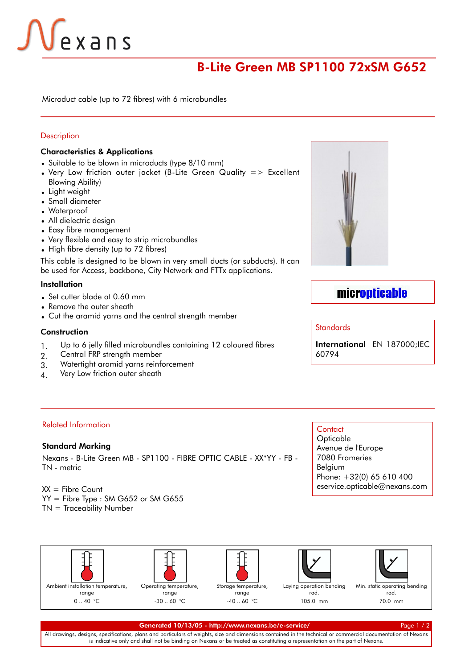# Vexans

## B-Lite Green MB SP1100 72xSM G652

Microduct cable (up to 72 fibres) with 6 microbundles

#### **Description**

#### Characteristics & Applications

- Suitable to be blown in microducts (type 8/10 mm)
- $\bullet$  Very Low friction outer jacket (B-Lite Green Quality => Excellent Blowing Ability)
- Light weight
- Small diameter
- Waterproof
- All dielectric design
- Easy fibre management
- Very flexible and easy to strip microbundles
- High fibre density (up to 72 fibres)

This cable is designed to be blown in very small ducts (or subducts). It can be used for Access, backbone, City Network and FTTx applications.

#### Installation

- Set cutter blade at 0.60 mm
- Remove the outer sheath
- Cut the aramid yarns and the central strength member

#### **Construction**

- 1. Up to 6 jelly filled microbundles containing 12 coloured fibres
- 2. Central FRP strength member
- 3. Watertight aramid yarns reinforcement
- 4. Very Low friction outer sheath



### micropticable

#### **Standards**

International EN 187000;IEC 60794

#### Related Information

#### Standard Marking

Nexans - B-Lite Green MB - SP1100 - FIBRE OPTIC CABLE - XX\*YY - FB - TN - metric

#### $XX =$  Fibre Count

- YY = Fibre Type : SM G652 or SM G655
- TN = Traceability Number

### **Contact**

**Opticable** Avenue de l'Europe 7080 Frameries Belgium Phone: +32(0) 65 610 400 eservice.opticable@nexans.com





Storage temperature,

range -40 .. 60 °C

rad. 105.0 mm





#### Generated 10/13/05 - [http://www.nexans.be/e-service/](http://e-service.nexans.com/eservice/jsp/DirectToProduct.nx?CZ=Belgium&language=en&OID=540079463) Page 1 / 2

All drawings, designs, specifications, plans and particulars of weights, size and dimensions contained in the technical or commercial documentation of Nexans is indicative only and shall not be binding on Nexans or be treated as constituting a representation on the part of Nexans.